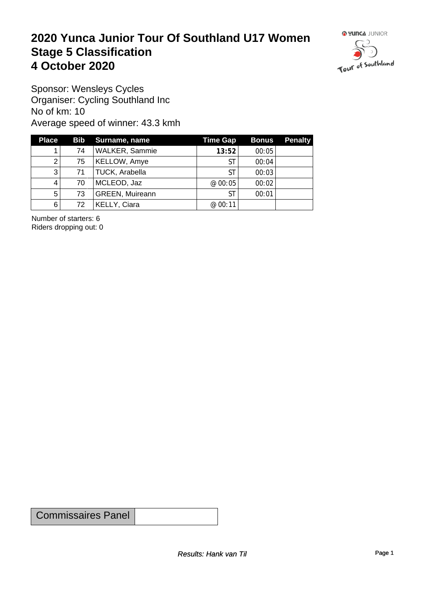#### **2020 Yunca Junior Tour Of Southland U17 Women** Stage 5 Classification<br>4 October 2020 **4 October 2020**



Sponsor: Wensleys Cycles Organiser: Cycling Southland Inc No of km: 10 Average speed of winner: 43.3 kmh

| <b>Place</b> |    | Bib Surname, name      | <b>Time Gap</b> | <b>Bonus</b> | <b>Penalty</b> |
|--------------|----|------------------------|-----------------|--------------|----------------|
|              | 74 | WALKER, Sammie         | 13:52           | 00:05        |                |
| 2            | 75 | <b>KELLOW, Amye</b>    | ST              | 00:04        |                |
| 3            | 71 | TUCK, Arabella         | SТ              | 00:03        |                |
| 4            | 70 | MCLEOD, Jaz            | @ 00:05         | 00:02        |                |
| 5            | 73 | <b>GREEN, Muireann</b> | ST              | 00:01        |                |
| 6            | 72 | KELLY, Ciara           | @ 00:11         |              |                |

Number of starters: 6 Riders dropping out: 0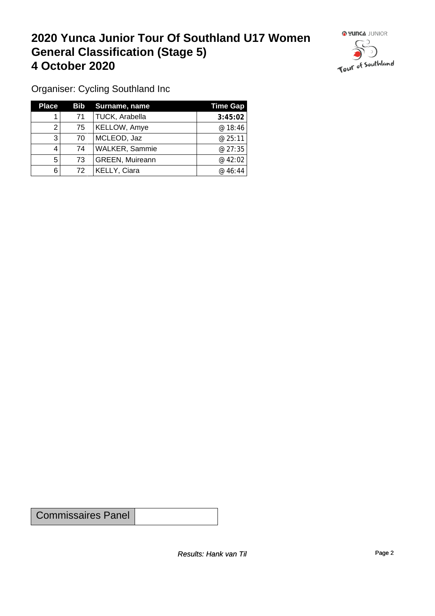#### **2020 Yunca Junior Tour Of Southland U17 Women General Classification (Stage 5)**<br>
4 October 2020 **4 October 2020**



Organiser: Cycling Southland Inc

| <b>Place</b> |    | Bib Surname, name      | <b>Time Gap</b> |
|--------------|----|------------------------|-----------------|
|              | 71 | TUCK, Arabella         | 3:45:02         |
|              | 75 | <b>KELLOW, Amye</b>    | @ 18:46         |
| 3            | 70 | MCLEOD, Jaz            | @25:11          |
|              | 74 | <b>WALKER, Sammie</b>  | @ 27:35         |
| 5            | 73 | <b>GREEN, Muireann</b> | @ 42:02         |
| 6            | 72 | KELLY, Ciara           | @46:44          |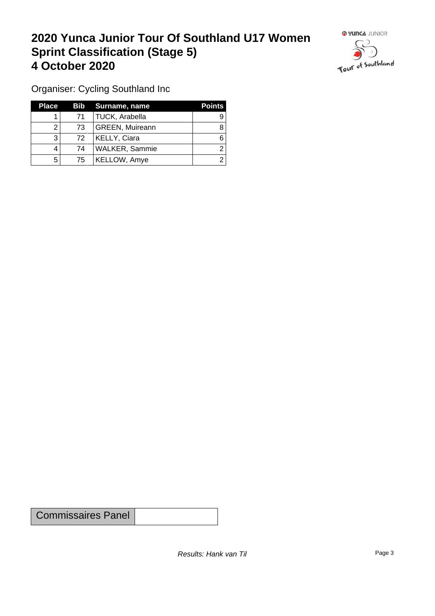## **2020 Yunca Junior Tour Of Southland U17 Women Sprint Classification (Stage 5) 4 October 2020**



Organiser: Cycling Southland Inc

| <b>Place</b> |    | Bib Surname, name      | <b>Points</b> |
|--------------|----|------------------------|---------------|
|              | 71 | TUCK, Arabella         | 9             |
|              | 73 | <b>GREEN, Muireann</b> |               |
| າ            | 72 | <b>KELLY, Ciara</b>    |               |
| 4            | 74 | WALKER, Sammie         |               |
| 5            | 75 | <b>KELLOW, Amye</b>    |               |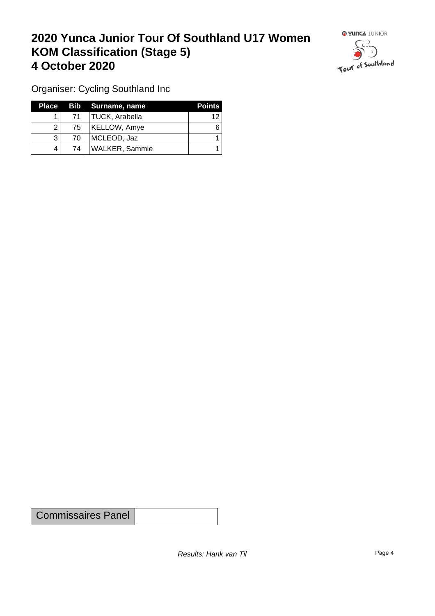## **2020 Yunca Junior Tour Of Southland U17 Women KOM Classification (Stage 5) 4 October 2020 19 To 2020 19 To 2020 19 To 2020**



Organiser: Cycling Southland Inc

|                 | Place Bib Surname, name | <b>Points</b> |
|-----------------|-------------------------|---------------|
| 71 <sup>1</sup> | TUCK, Arabella          | 12            |
| 75              | KELLOW, Amye            | 6             |
| 70              | MCLEOD, Jaz             |               |
| 74              | WALKER, Sammie          |               |